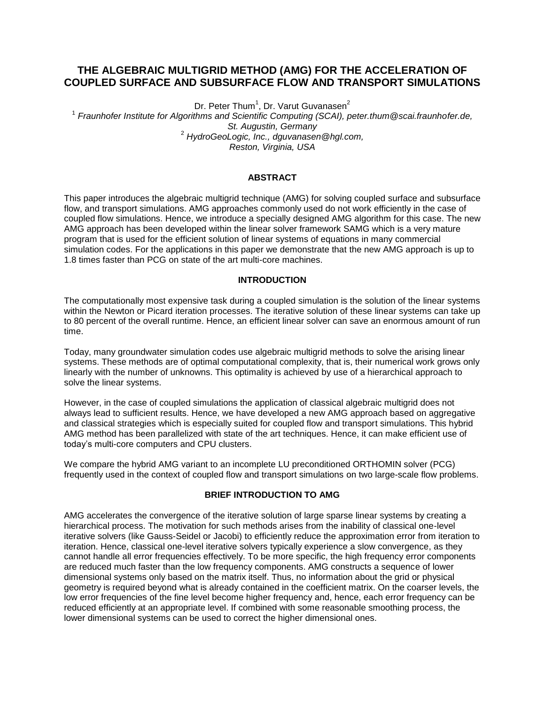# **THE ALGEBRAIC MULTIGRID METHOD (AMG) FOR THE ACCELERATION OF COUPLED SURFACE AND SUBSURFACE FLOW AND TRANSPORT SIMULATIONS**

Dr. Peter Thum<sup>1</sup>, Dr. Varut Guvanasen<sup>2</sup>

<sup>1</sup> Fraunhofer Institute for Algorithms and Scientific Computing (SCAI), peter.thum@scai.fraunhofer.de, *St. Augustin, Germany* <sup>2</sup> *HydroGeoLogic, Inc., dguvanasen@hgl.com, Reston, Virginia, USA*

# **ABSTRACT**

This paper introduces the algebraic multigrid technique (AMG) for solving coupled surface and subsurface flow, and transport simulations. AMG approaches commonly used do not work efficiently in the case of coupled flow simulations. Hence, we introduce a specially designed AMG algorithm for this case. The new AMG approach has been developed within the linear solver framework SAMG which is a very mature program that is used for the efficient solution of linear systems of equations in many commercial simulation codes. For the applications in this paper we demonstrate that the new AMG approach is up to 1.8 times faster than PCG on state of the art multi-core machines.

#### **INTRODUCTION**

The computationally most expensive task during a coupled simulation is the solution of the linear systems within the Newton or Picard iteration processes. The iterative solution of these linear systems can take up to 80 percent of the overall runtime. Hence, an efficient linear solver can save an enormous amount of run time.

Today, many groundwater simulation codes use algebraic multigrid methods to solve the arising linear systems. These methods are of optimal computational complexity, that is, their numerical work grows only linearly with the number of unknowns. This optimality is achieved by use of a hierarchical approach to solve the linear systems.

However, in the case of coupled simulations the application of classical algebraic multigrid does not always lead to sufficient results. Hence, we have developed a new AMG approach based on aggregative and classical strategies which is especially suited for coupled flow and transport simulations. This hybrid AMG method has been parallelized with state of the art techniques. Hence, it can make efficient use of today's multi-core computers and CPU clusters.

We compare the hybrid AMG variant to an incomplete LU preconditioned ORTHOMIN solver (PCG) frequently used in the context of coupled flow and transport simulations on two large-scale flow problems.

#### **BRIEF INTRODUCTION TO AMG**

AMG accelerates the convergence of the iterative solution of large sparse linear systems by creating a hierarchical process. The motivation for such methods arises from the inability of classical one-level iterative solvers (like Gauss-Seidel or Jacobi) to efficiently reduce the approximation error from iteration to iteration. Hence, classical one-level iterative solvers typically experience a slow convergence, as they cannot handle all error frequencies effectively. To be more specific, the high frequency error components are reduced much faster than the low frequency components. AMG constructs a sequence of lower dimensional systems only based on the matrix itself. Thus, no information about the grid or physical geometry is required beyond what is already contained in the coefficient matrix. On the coarser levels, the low error frequencies of the fine level become higher frequency and, hence, each error frequency can be reduced efficiently at an appropriate level. If combined with some reasonable smoothing process, the lower dimensional systems can be used to correct the higher dimensional ones.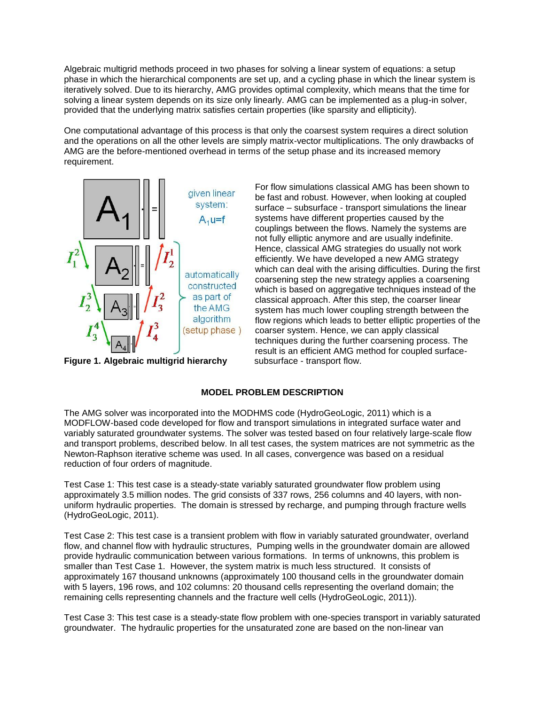Algebraic multigrid methods proceed in two phases for solving a linear system of equations: a setup phase in which the hierarchical components are set up, and a cycling phase in which the linear system is iteratively solved. Due to its hierarchy, AMG provides optimal complexity, which means that the time for solving a linear system depends on its size only linearly. AMG can be implemented as a plug-in solver, provided that the underlying matrix satisfies certain properties (like sparsity and ellipticity).

One computational advantage of this process is that only the coarsest system requires a direct solution and the operations on all the other levels are simply matrix-vector multiplications. The only drawbacks of AMG are the before-mentioned overhead in terms of the setup phase and its increased memory requirement.



**Figure 1. Algebraic multigrid hierarchy** subsurface - transport flow.

For flow simulations classical AMG has been shown to be fast and robust. However, when looking at coupled surface – subsurface - transport simulations the linear systems have different properties caused by the couplings between the flows. Namely the systems are not fully elliptic anymore and are usually indefinite. Hence, classical AMG strategies do usually not work efficiently. We have developed a new AMG strategy which can deal with the arising difficulties. During the first coarsening step the new strategy applies a coarsening which is based on aggregative techniques instead of the classical approach. After this step, the coarser linear system has much lower coupling strength between the flow regions which leads to better elliptic properties of the coarser system. Hence, we can apply classical techniques during the further coarsening process. The result is an efficient AMG method for coupled surface-

# **MODEL PROBLEM DESCRIPTION**

The AMG solver was incorporated into the MODHMS code (HydroGeoLogic, 2011) which is a MODFLOW-based code developed for flow and transport simulations in integrated surface water and variably saturated groundwater systems. The solver was tested based on four relatively large-scale flow and transport problems, described below. In all test cases, the system matrices are not symmetric as the Newton-Raphson iterative scheme was used. In all cases, convergence was based on a residual reduction of four orders of magnitude.

Test Case 1: This test case is a steady-state variably saturated groundwater flow problem using approximately 3.5 million nodes. The grid consists of 337 rows, 256 columns and 40 layers, with nonuniform hydraulic properties. The domain is stressed by recharge, and pumping through fracture wells (HydroGeoLogic, 2011).

Test Case 2: This test case is a transient problem with flow in variably saturated groundwater, overland flow, and channel flow with hydraulic structures, Pumping wells in the groundwater domain are allowed provide hydraulic communication between various formations. In terms of unknowns, this problem is smaller than Test Case 1. However, the system matrix is much less structured. It consists of approximately 167 thousand unknowns (approximately 100 thousand cells in the groundwater domain with 5 layers, 196 rows, and 102 columns: 20 thousand cells representing the overland domain; the remaining cells representing channels and the fracture well cells (HydroGeoLogic, 2011)).

Test Case 3: This test case is a steady-state flow problem with one-species transport in variably saturated groundwater. The hydraulic properties for the unsaturated zone are based on the non-linear van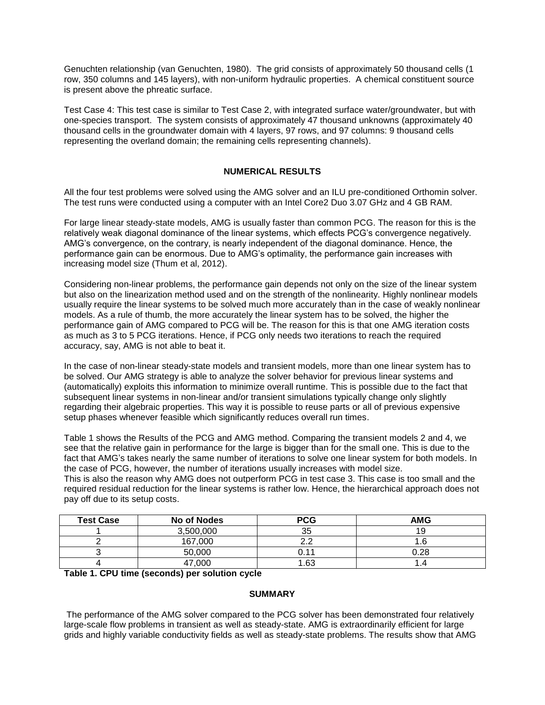Genuchten relationship (van Genuchten, 1980). The grid consists of approximately 50 thousand cells (1 row, 350 columns and 145 layers), with non-uniform hydraulic properties. A chemical constituent source is present above the phreatic surface.

Test Case 4: This test case is similar to Test Case 2, with integrated surface water/groundwater, but with one-species transport. The system consists of approximately 47 thousand unknowns (approximately 40 thousand cells in the groundwater domain with 4 layers, 97 rows, and 97 columns: 9 thousand cells representing the overland domain; the remaining cells representing channels).

## **NUMERICAL RESULTS**

All the four test problems were solved using the AMG solver and an ILU pre-conditioned Orthomin solver. The test runs were conducted using a computer with an Intel Core2 Duo 3.07 GHz and 4 GB RAM.

For large linear steady-state models, AMG is usually faster than common PCG. The reason for this is the relatively weak diagonal dominance of the linear systems, which effects PCG's convergence negatively. AMG's convergence, on the contrary, is nearly independent of the diagonal dominance. Hence, the performance gain can be enormous. Due to AMG's optimality, the performance gain increases with increasing model size (Thum et al, 2012).

Considering non-linear problems, the performance gain depends not only on the size of the linear system but also on the linearization method used and on the strength of the nonlinearity. Highly nonlinear models usually require the linear systems to be solved much more accurately than in the case of weakly nonlinear models. As a rule of thumb, the more accurately the linear system has to be solved, the higher the performance gain of AMG compared to PCG will be. The reason for this is that one AMG iteration costs as much as 3 to 5 PCG iterations. Hence, if PCG only needs two iterations to reach the required accuracy, say, AMG is not able to beat it.

In the case of non-linear steady-state models and transient models, more than one linear system has to be solved. Our AMG strategy is able to analyze the solver behavior for previous linear systems and (automatically) exploits this information to minimize overall runtime. This is possible due to the fact that subsequent linear systems in non-linear and/or transient simulations typically change only slightly regarding their algebraic properties. This way it is possible to reuse parts or all of previous expensive setup phases whenever feasible which significantly reduces overall run times.

Table 1 shows the Results of the PCG and AMG method. Comparing the transient models 2 and 4, we see that the relative gain in performance for the large is bigger than for the small one. This is due to the fact that AMG's takes nearly the same number of iterations to solve one linear system for both models. In the case of PCG, however, the number of iterations usually increases with model size.

This is also the reason why AMG does not outperform PCG in test case 3. This case is too small and the required residual reduction for the linear systems is rather low. Hence, the hierarchical approach does not pay off due to its setup costs.

| <b>Test Case</b> | No of Nodes | <b>PCG</b> | <b>AMG</b> |
|------------------|-------------|------------|------------|
|                  | 3,500,000   | 35         | 19         |
|                  | 167,000     | ົດ         |            |
|                  | 50,000      | ∩ 11       | 0.28       |
|                  | 47,000      | .63        |            |

**Table 1. CPU time (seconds) per solution cycle** 

## **SUMMARY**

The performance of the AMG solver compared to the PCG solver has been demonstrated four relatively large-scale flow problems in transient as well as steady-state. AMG is extraordinarily efficient for large grids and highly variable conductivity fields as well as steady-state problems. The results show that AMG